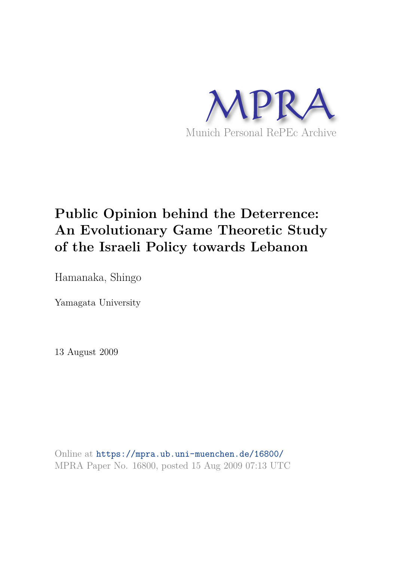

# **Public Opinion behind the Deterrence: An Evolutionary Game Theoretic Study of the Israeli Policy towards Lebanon**

Hamanaka, Shingo

Yamagata University

13 August 2009

Online at https://mpra.ub.uni-muenchen.de/16800/ MPRA Paper No. 16800, posted 15 Aug 2009 07:13 UTC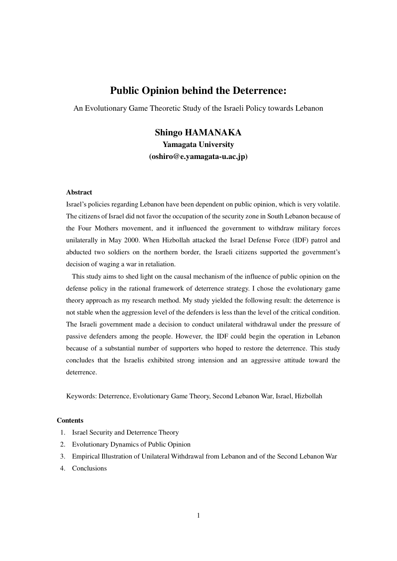## **Public Opinion behind the Deterrence:**

An Evolutionary Game Theoretic Study of the Israeli Policy towards Lebanon

# **Shingo HAMANAKA Yamagata University (oshiro@e.yamagata-u.ac.jp)**

#### **Abstract**

Israel's policies regarding Lebanon have been dependent on public opinion, which is very volatile. The citizens of Israel did not favor the occupation of the security zone in South Lebanon because of the Four Mothers movement, and it influenced the government to withdraw military forces unilaterally in May 2000. When Hizbollah attacked the Israel Defense Force (IDF) patrol and abducted two soldiers on the northern border, the Israeli citizens supported the government's decision of waging a war in retaliation.

 This study aims to shed light on the causal mechanism of the influence of public opinion on the defense policy in the rational framework of deterrence strategy. I chose the evolutionary game theory approach as my research method. My study yielded the following result: the deterrence is not stable when the aggression level of the defenders is less than the level of the critical condition. The Israeli government made a decision to conduct unilateral withdrawal under the pressure of passive defenders among the people. However, the IDF could begin the operation in Lebanon because of a substantial number of supporters who hoped to restore the deterrence. This study concludes that the Israelis exhibited strong intension and an aggressive attitude toward the deterrence.

Keywords: Deterrence, Evolutionary Game Theory, Second Lebanon War, Israel, Hizbollah

#### **Contents**

- 1. Israel Security and Deterrence Theory
- 2. Evolutionary Dynamics of Public Opinion
- 3. Empirical Illustration of Unilateral Withdrawal from Lebanon and of the Second Lebanon War
- 4. Conclusions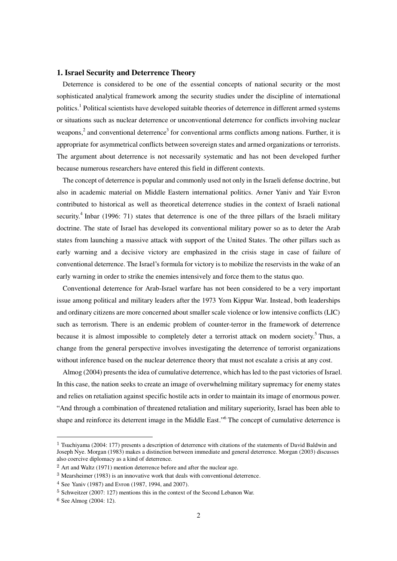#### **1. Israel Security and Deterrence Theory**

Deterrence is considered to be one of the essential concepts of national security or the most sophisticated analytical framework among the security studies under the discipline of international politics.<sup>1</sup> Political scientists have developed suitable theories of deterrence in different armed systems or situations such as nuclear deterrence or unconventional deterrence for conflicts involving nuclear weapons,<sup>2</sup> and conventional deterrence<sup>3</sup> for conventional arms conflicts among nations. Further, it is appropriate for asymmetrical conflicts between sovereign states and armed organizations or terrorists. The argument about deterrence is not necessarily systematic and has not been developed further because numerous researchers have entered this field in different contexts.

The concept of deterrence is popular and commonly used not only in the Israeli defense doctrine, but also in academic material on Middle Eastern international politics. Avner Yaniv and Yair Evron contributed to historical as well as theoretical deterrence studies in the context of Israeli national security.<sup>4</sup> Inbar (1996: 71) states that deterrence is one of the three pillars of the Israeli military doctrine. The state of Israel has developed its conventional military power so as to deter the Arab states from launching a massive attack with support of the United States. The other pillars such as early warning and a decisive victory are emphasized in the crisis stage in case of failure of conventional deterrence. The Israel's formula for victory is to mobilize the reservists in the wake of an early warning in order to strike the enemies intensively and force them to the status quo.

Conventional deterrence for Arab-Israel warfare has not been considered to be a very important issue among political and military leaders after the 1973 Yom Kippur War. Instead, both leaderships and ordinary citizens are more concerned about smaller scale violence or low intensive conflicts (LIC) such as terrorism. There is an endemic problem of counter-terror in the framework of deterrence because it is almost impossible to completely deter a terrorist attack on modern society.<sup>5</sup> Thus, a change from the general perspective involves investigating the deterrence of terrorist organizations without inference based on the nuclear deterrence theory that must not escalate a crisis at any cost.

Almog (2004) presents the idea of cumulative deterrence, which has led to the past victories of Israel. In this case, the nation seeks to create an image of overwhelming military supremacy for enemy states and relies on retaliation against specific hostile acts in order to maintain its image of enormous power. ―And through a combination of threatened retaliation and military superiority, Israel has been able to shape and reinforce its deterrent image in the Middle East." The concept of cumulative deterrence is

<sup>&</sup>lt;sup>1</sup> Tsuchiyama (2004: 177) presents a description of deterrence with citations of the statements of David Baldwin and Joseph Nye. Morgan (1983) makes a distinction between immediate and general deterrence. Morgan (2003) discusses also coercive diplomacy as a kind of deterrence.

<sup>2</sup> Art and Waltz (1971) mention deterrence before and after the nuclear age.

<sup>3</sup> Mearsheimer (1983) is an innovative work that deals with conventional deterrence.

<sup>4</sup> See Yaniv (1987) and Evron (1987, 1994, and 2007).

<sup>5</sup> Schweitzer (2007: 127) mentions this in the context of the Second Lebanon War.

<sup>6</sup> See Almog (2004: 12).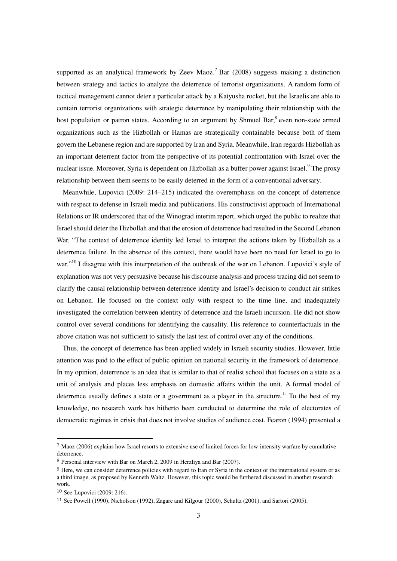supported as an analytical framework by Zeev Maoz.<sup>7</sup> Bar (2008) suggests making a distinction between strategy and tactics to analyze the deterrence of terrorist organizations. A random form of tactical management cannot deter a particular attack by a Katyusha rocket, but the Israelis are able to contain terrorist organizations with strategic deterrence by manipulating their relationship with the host population or patron states. According to an argument by Shmuel Bar, <sup>8</sup> even non-state armed organizations such as the Hizbollah or Hamas are strategically containable because both of them govern the Lebanese region and are supported by Iran and Syria. Meanwhile, Iran regards Hizbollah as an important deterrent factor from the perspective of its potential confrontation with Israel over the nuclear issue. Moreover, Syria is dependent on Hizbollah as a buffer power against Israel.<sup>9</sup> The proxy relationship between them seems to be easily deterred in the form of a conventional adversary.

Meanwhile, Lupovici (2009: 214–215) indicated the overemphasis on the concept of deterrence with respect to defense in Israeli media and publications. His constructivist approach of International Relations or IR underscored that of the Winograd interim report, which urged the public to realize that Israel should deter the Hizbollah and that the erosion of deterrence had resulted in the Second Lebanon War. "The context of deterrence identity led Israel to interpret the actions taken by Hizballah as a deterrence failure. In the absence of this context, there would have been no need for Israel to go to war."<sup>10</sup> I disagree with this interpretation of the outbreak of the war on Lebanon. Lupovici's style of explanation was not very persuasive because his discourse analysis and process tracing did not seem to clarify the causal relationship between deterrence identity and Israel's decision to conduct air strikes on Lebanon. He focused on the context only with respect to the time line, and inadequately investigated the correlation between identity of deterrence and the Israeli incursion. He did not show control over several conditions for identifying the causality. His reference to counterfactuals in the above citation was not sufficient to satisfy the last test of control over any of the conditions.

Thus, the concept of deterrence has been applied widely in Israeli security studies. However, little attention was paid to the effect of public opinion on national security in the framework of deterrence. In my opinion, deterrence is an idea that is similar to that of realist school that focuses on a state as a unit of analysis and places less emphasis on domestic affairs within the unit. A formal model of deterrence usually defines a state or a government as a player in the structure.<sup>11</sup> To the best of my knowledge, no research work has hitherto been conducted to determine the role of electorates of democratic regimes in crisis that does not involve studies of audience cost. Fearon (1994) presented a

<sup>7</sup> Maoz (2006) explains how Israel resorts to extensive use of limited forces for low-intensity warfare by cumulative deterrence.

<sup>8</sup> Personal interview with Bar on March 2, 2009 in Herzliya and Bar (2007).

<sup>9</sup> Here, we can consider deterrence policies with regard to Iran or Syria in the context of the international system or as a third image, as proposed by Kenneth Waltz. However, this topic would be furthered discussed in another research work.

<sup>10</sup> See Lupovici (2009: 216).

<sup>11</sup> See Powell (1990), Nicholson (1992), Zagare and Kilgour (2000), Schultz (2001), and Sartori (2005).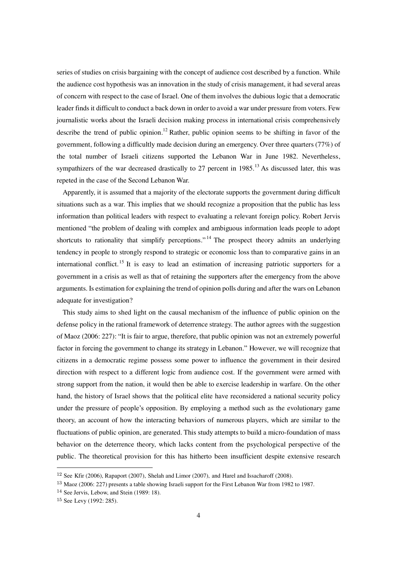series of studies on crisis bargaining with the concept of audience cost described by a function. While the audience cost hypothesis was an innovation in the study of crisis management, it had several areas of concern with respect to the case of Israel. One of them involves the dubious logic that a democratic leader finds it difficult to conduct a back down in order to avoid a war under pressure from voters. Few journalistic works about the Israeli decision making process in international crisis comprehensively describe the trend of public opinion.<sup>12</sup> Rather, public opinion seems to be shifting in favor of the government, following a difficultly made decision during an emergency. Over three quarters (77%) of the total number of Israeli citizens supported the Lebanon War in June 1982. Nevertheless, sympathizers of the war decreased drastically to 27 percent in  $1985$ <sup>13</sup> As discussed later, this was repeted in the case of the Second Lebanon War.

Apparently, it is assumed that a majority of the electorate supports the government during difficult situations such as a war. This implies that we should recognize a proposition that the public has less information than political leaders with respect to evaluating a relevant foreign policy. Robert Jervis mentioned "the problem of dealing with complex and ambiguous information leads people to adopt shortcuts to rationality that simplify perceptions."<sup>14</sup> The prospect theory admits an underlying tendency in people to strongly respond to strategic or economic loss than to comparative gains in an international conflict.<sup>15</sup> It is easy to lead an estimation of increasing patriotic supporters for a government in a crisis as well as that of retaining the supporters after the emergency from the above arguments. Is estimation for explaining the trend of opinion polls during and after the wars on Lebanon adequate for investigation?

This study aims to shed light on the causal mechanism of the influence of public opinion on the defense policy in the rational framework of deterrence strategy. The author agrees with the suggestion of Maoz (2006: 227): "It is fair to argue, therefore, that public opinion was not an extremely powerful factor in forcing the government to change its strategy in Lebanon." However, we will recognize that citizens in a democratic regime possess some power to influence the government in their desired direction with respect to a different logic from audience cost. If the government were armed with strong support from the nation, it would then be able to exercise leadership in warfare. On the other hand, the history of Israel shows that the political elite have reconsidered a national security policy under the pressure of people's opposition. By employing a method such as the evolutionary game theory, an account of how the interacting behaviors of numerous players, which are similar to the fluctuations of public opinion, are generated. This study attempts to build a micro-foundation of mass behavior on the deterrence theory, which lacks content from the psychological perspective of the public. The theoretical provision for this has hitherto been insufficient despite extensive research

<sup>12</sup> See Kfir (2006), Rapaport (2007), Shelah and Limor (2007), and Harel and Issacharoff (2008).

<sup>&</sup>lt;sup>13</sup> Maoz (2006: 227) presents a table showing Israeli support for the First Lebanon War from 1982 to 1987.

<sup>14</sup> See Jervis, Lebow, and Stein (1989: 18).

<sup>15</sup> See Levy (1992: 285).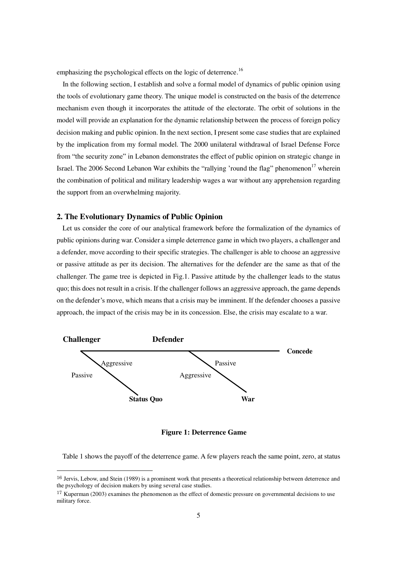emphasizing the psychological effects on the logic of deterrence.<sup>16</sup>

In the following section, I establish and solve a formal model of dynamics of public opinion using the tools of evolutionary game theory. The unique model is constructed on the basis of the deterrence mechanism even though it incorporates the attitude of the electorate. The orbit of solutions in the model will provide an explanation for the dynamic relationship between the process of foreign policy decision making and public opinion. In the next section, I present some case studies that are explained by the implication from my formal model. The 2000 unilateral withdrawal of Israel Defense Force from "the security zone" in Lebanon demonstrates the effect of public opinion on strategic change in Israel. The 2006 Second Lebanon War exhibits the "rallying 'round the flag" phenomenon<sup>17</sup> wherein the combination of political and military leadership wages a war without any apprehension regarding the support from an overwhelming majority.

#### **2. The Evolutionary Dynamics of Public Opinion**

Let us consider the core of our analytical framework before the formalization of the dynamics of public opinions during war. Consider a simple deterrence game in which two players, a challenger and a defender, move according to their specific strategies. The challenger is able to choose an aggressive or passive attitude as per its decision. The alternatives for the defender are the same as that of the challenger. The game tree is depicted in Fig.1. Passive attitude by the challenger leads to the status quo; this does not result in a crisis. If the challenger follows an aggressive approach, the game depends on the defender's move, which means that a crisis may be imminent. If the defender chooses a passive approach, the impact of the crisis may be in its concession. Else, the crisis may escalate to a war.



**Figure 1: Deterrence Game** 

Table 1 shows the payoff of the deterrence game. A few players reach the same point, zero, at status

<sup>&</sup>lt;sup>16</sup> Jervis, Lebow, and Stein (1989) is a prominent work that presents a theoretical relationship between deterrence and the psychology of decision makers by using several case studies.

 $17$  Kuperman (2003) examines the phenomenon as the effect of domestic pressure on governmental decisions to use military force.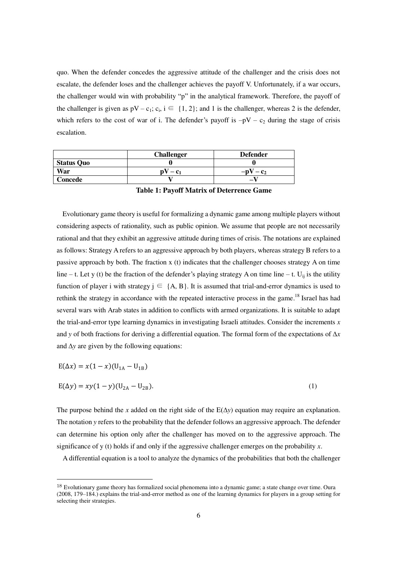quo. When the defender concedes the aggressive attitude of the challenger and the crisis does not escalate, the defender loses and the challenger achieves the payoff V. Unfortunately, if a war occurs, the challenger would win with probability "p" in the analytical framework. Therefore, the payoff of the challenger is given as  $pV - c_1$ ;  $c_i$ ,  $i \in \{1, 2\}$ ; and 1 is the challenger, whereas 2 is the defender, which refers to the cost of war of i. The defender's payoff is  $-pV - c_2$  during the stage of crisis escalation.

|                   | <b>Challenger</b> | <b>Defender</b>   |
|-------------------|-------------------|-------------------|
| <b>Status Quo</b> |                   |                   |
| War               |                   | $-n^{V}$<br>$-c2$ |
| Concede           |                   | -                 |

**Table 1: Payoff Matrix of Deterrence Game** 

Evolutionary game theory is useful for formalizing a dynamic game among multiple players without considering aspects of rationality, such as public opinion. We assume that people are not necessarily rational and that they exhibit an aggressive attitude during times of crisis. The notations are explained as follows: Strategy A refers to an aggressive approach by both players, whereas strategy B refers to a passive approach by both. The fraction x (t) indicates that the challenger chooses strategy A on time line – t. Let y (t) be the fraction of the defender's playing strategy A on time line – t. U<sub>ij</sub> is the utility function of player i with strategy  $j \in \{A, B\}$ . It is assumed that trial-and-error dynamics is used to rethink the strategy in accordance with the repeated interactive process in the game.<sup>18</sup> Israel has had several wars with Arab states in addition to conflicts with armed organizations. It is suitable to adapt the trial-and-error type learning dynamics in investigating Israeli attitudes. Consider the increments *x* and *y* of both fractions for deriving a differential equation. The formal form of the expectations of ∆*x* and ∆*y* are given by the following equations:

$$
E(\Delta x) = x(1-x)(U_{1A} - U_{1B})
$$

 $\overline{a}$ 

$$
E(\Delta y) = xy(1 - y)(U_{2A} - U_{2B}).
$$
\n(1)

The purpose behind the *x* added on the right side of the  $E(\Delta y)$  equation may require an explanation. The notation *y* refers to the probability that the defender follows an aggressive approach. The defender can determine his option only after the challenger has moved on to the aggressive approach. The significance of y (t) holds if and only if the aggressive challenger emerges on the probability *x*.

A differential equation is a tool to analyze the dynamics of the probabilities that both the challenger

<sup>&</sup>lt;sup>18</sup> Evolutionary game theory has formalized social phenomena into a dynamic game; a state change over time. Oura (2008, 179–184.) explains the trial-and-error method as one of the learning dynamics for players in a group setting for selecting their strategies.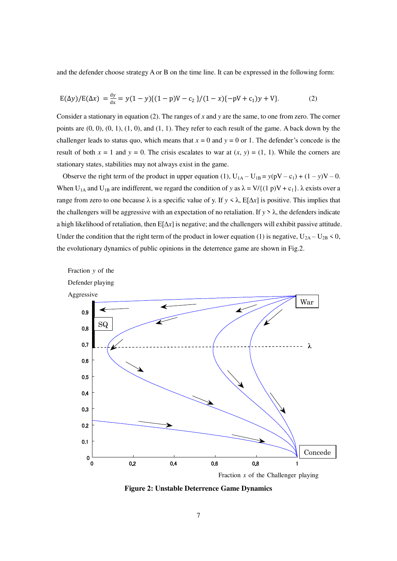and the defender choose strategy A or B on the time line. It can be expressed in the following form:

$$
E(\Delta y)/E(\Delta x) = \frac{dy}{dx} = y(1-y)\{(1-p)V - c_2\}/(1-x)\{-pV + c_1)y + V\}.
$$
 (2)

Consider a stationary in equation (2). The ranges of *x* and *y* are the same, to one from zero. The corner points are  $(0, 0)$ ,  $(0, 1)$ ,  $(1, 0)$ , and  $(1, 1)$ . They refer to each result of the game. A back down by the challenger leads to status quo, which means that  $x = 0$  and  $y = 0$  or 1. The defender's concede is the result of both  $x = 1$  and  $y = 0$ . The crisis escalates to war at  $(x, y) = (1, 1)$ . While the corners are stationary states, stabilities may not always exist in the game.

Observe the right term of the product in upper equation (1),  $U_{1A} - U_{1B} = y(pV - c_1) + (1 - y)V - 0$ . When U<sub>1A</sub> and U<sub>1B</sub> are indifferent, we regard the condition of *y* as  $\lambda = V/{(1 \text{ p})V + c_1}$ .  $\lambda$  exists over a range from zero to one because  $\lambda$  is a specific value of y. If  $y \leq \lambda$ , E[ $\Delta x$ ] is positive. This implies that the challengers will be aggressive with an expectation of no retaliation. If  $y > \lambda$ , the defenders indicate a high likelihood of retaliation, then E[∆*x*] is negative; and the challengers will exhibit passive attitude. Under the condition that the right term of the product in lower equation (1) is negative,  $U_{2A} - U_{2B} \le 0$ , the evolutionary dynamics of public opinions in the deterrence game are shown in Fig.2.



**Figure 2: Unstable Deterrence Game Dynamics**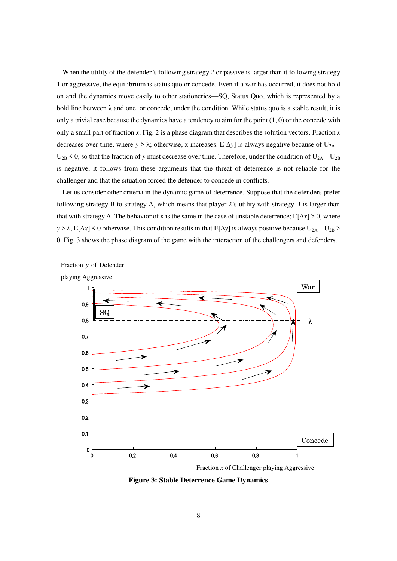When the utility of the defender's following strategy 2 or passive is larger than it following strategy 1 or aggressive, the equilibrium is status quo or concede. Even if a war has occurred, it does not hold on and the dynamics move easily to other stationeries—SQ, Status Quo, which is represented by a bold line between  $\lambda$  and one, or concede, under the condition. While status quo is a stable result, it is only a trivial case because the dynamics have a tendency to aim for the point  $(1, 0)$  or the concede with only a small part of fraction *x*. Fig. 2 is a phase diagram that describes the solution vectors. Fraction *x* decreases over time, where *y* >  $\lambda$ ; otherwise, x increases. E[ $\Delta y$ ] is always negative because of U<sub>2A</sub> –  $U_{2B}$  < 0, so that the fraction of *y* must decrease over time. Therefore, under the condition of  $U_{2A} - U_{2B}$ is negative, it follows from these arguments that the threat of deterrence is not reliable for the challenger and that the situation forced the defender to concede in conflicts.

Let us consider other criteria in the dynamic game of deterrence. Suppose that the defenders prefer following strategy B to strategy A, which means that player 2's utility with strategy B is larger than that with strategy A. The behavior of x is the same in the case of unstable deterrence;  $E[\Delta x] > 0$ , where *y* > λ, E[∆*x*] < 0 otherwise. This condition results in that E[∆*y*] is always positive because U<sub>2A</sub> – U<sub>2B</sub> > 0. Fig. 3 shows the phase diagram of the game with the interaction of the challengers and defenders.



Fraction *y* of Defender

**Figure 3: Stable Deterrence Game Dynamics**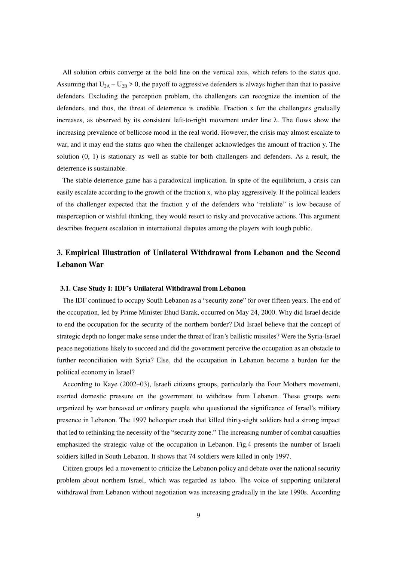All solution orbits converge at the bold line on the vertical axis, which refers to the status quo. Assuming that  $U_{2A} - U_{2B} > 0$ , the payoff to aggressive defenders is always higher than that to passive defenders. Excluding the perception problem, the challengers can recognize the intention of the defenders, and thus, the threat of deterrence is credible. Fraction x for the challengers gradually increases, as observed by its consistent left-to-right movement under line  $\lambda$ . The flows show the increasing prevalence of bellicose mood in the real world. However, the crisis may almost escalate to war, and it may end the status quo when the challenger acknowledges the amount of fraction y. The solution (0, 1) is stationary as well as stable for both challengers and defenders. As a result, the deterrence is sustainable.

The stable deterrence game has a paradoxical implication. In spite of the equilibrium, a crisis can easily escalate according to the growth of the fraction x, who play aggressively. If the political leaders of the challenger expected that the fraction y of the defenders who "retaliate" is low because of misperception or wishful thinking, they would resort to risky and provocative actions. This argument describes frequent escalation in international disputes among the players with tough public.

### **3. Empirical Illustration of Unilateral Withdrawal from Lebanon and the Second Lebanon War**

#### **3.1. Case Study I: IDF's Unilateral Withdrawal from Lebanon**

The IDF continued to occupy South Lebanon as a "security zone" for over fifteen years. The end of the occupation, led by Prime Minister Ehud Barak, occurred on May 24, 2000. Why did Israel decide to end the occupation for the security of the northern border? Did Israel believe that the concept of strategic depth no longer make sense under the threat of Iran's ballistic missiles? Were the Syria-Israel peace negotiations likely to succeed and did the government perceive the occupation as an obstacle to further reconciliation with Syria? Else, did the occupation in Lebanon become a burden for the political economy in Israel?

According to Kaye (2002–03), Israeli citizens groups, particularly the Four Mothers movement, exerted domestic pressure on the government to withdraw from Lebanon. These groups were organized by war bereaved or ordinary people who questioned the significance of Israel's military presence in Lebanon. The 1997 helicopter crash that killed thirty-eight soldiers had a strong impact that led to rethinking the necessity of the "security zone." The increasing number of combat casualties emphasized the strategic value of the occupation in Lebanon. Fig.4 presents the number of Israeli soldiers killed in South Lebanon. It shows that 74 soldiers were killed in only 1997.

Citizen groups led a movement to criticize the Lebanon policy and debate over the national security problem about northern Israel, which was regarded as taboo. The voice of supporting unilateral withdrawal from Lebanon without negotiation was increasing gradually in the late 1990s. According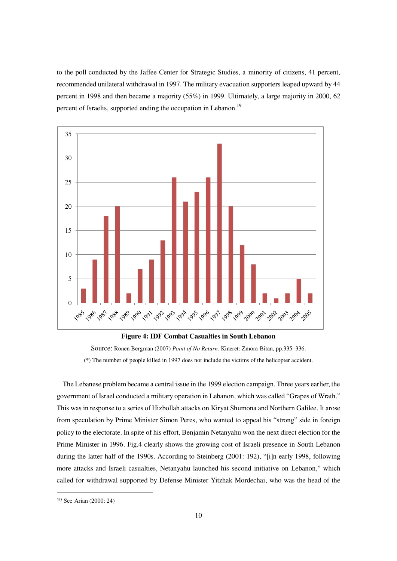to the poll conducted by the Jaffee Center for Strategic Studies, a minority of citizens, 41 percent, recommended unilateral withdrawal in 1997. The military evacuation supporters leaped upward by 44 percent in 1998 and then became a majority (55%) in 1999. Ultimately, a large majority in 2000, 62 percent of Israelis, supported ending the occupation in Lebanon.<sup>19</sup>



Source: Ronen Bergman (2007) *Point of No Return*. Kineret: Zmora-Bitan, pp.335–336. (\*) The number of people killed in 1997 does not include the victims of the helicopter accident.

The Lebanese problem became a central issue in the 1999 election campaign. Three years earlier, the government of Israel conducted a military operation in Lebanon, which was called "Grapes of Wrath." This was in response to a series of Hizbollah attacks on Kiryat Shumona and Northern Galilee. It arose from speculation by Prime Minister Simon Peres, who wanted to appeal his "strong" side in foreign policy to the electorate. In spite of his effort, Benjamin Netanyahu won the next direct election for the Prime Minister in 1996. Fig.4 clearly shows the growing cost of Israeli presence in South Lebanon during the latter half of the 1990s. According to Steinberg (2001: 192), "[i]n early 1998, following more attacks and Israeli casualties, Netanyahu launched his second initiative on Lebanon," which called for withdrawal supported by Defense Minister Yitzhak Mordechai, who was the head of the

<sup>19</sup> See Arian (2000: 24)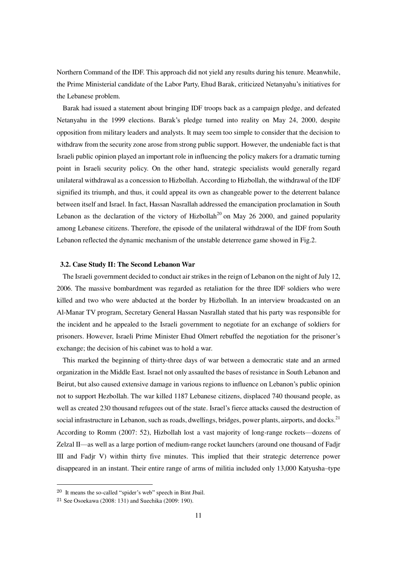Northern Command of the IDF. This approach did not yield any results during his tenure. Meanwhile, the Prime Ministerial candidate of the Labor Party, Ehud Barak, criticized Netanyahu's initiatives for the Lebanese problem.

Barak had issued a statement about bringing IDF troops back as a campaign pledge, and defeated Netanyahu in the 1999 elections. Barak's pledge turned into reality on May 24, 2000, despite opposition from military leaders and analysts. It may seem too simple to consider that the decision to withdraw from the security zone arose from strong public support. However, the undeniable fact is that Israeli public opinion played an important role in influencing the policy makers for a dramatic turning point in Israeli security policy. On the other hand, strategic specialists would generally regard unilateral withdrawal as a concession to Hizbollah. According to Hizbollah, the withdrawal of the IDF signified its triumph, and thus, it could appeal its own as changeable power to the deterrent balance between itself and Israel. In fact, Hassan Nasrallah addressed the emancipation proclamation in South Lebanon as the declaration of the victory of Hizbollah<sup>20</sup> on May 26 2000, and gained popularity among Lebanese citizens. Therefore, the episode of the unilateral withdrawal of the IDF from South Lebanon reflected the dynamic mechanism of the unstable deterrence game showed in Fig.2.

#### **3.2. Case Study II: The Second Lebanon War**

The Israeli government decided to conduct air strikes in the reign of Lebanon on the night of July 12, 2006. The massive bombardment was regarded as retaliation for the three IDF soldiers who were killed and two who were abducted at the border by Hizbollah. In an interview broadcasted on an Al-Manar TV program, Secretary General Hassan Nasrallah stated that his party was responsible for the incident and he appealed to the Israeli government to negotiate for an exchange of soldiers for prisoners. However, Israeli Prime Minister Ehud Olmert rebuffed the negotiation for the prisoner's exchange; the decision of his cabinet was to hold a war.

This marked the beginning of thirty-three days of war between a democratic state and an armed organization in the Middle East. Israel not only assaulted the bases of resistance in South Lebanon and Beirut, but also caused extensive damage in various regions to influence on Lebanon's public opinion not to support Hezbollah. The war killed 1187 Lebanese citizens, displaced 740 thousand people, as well as created 230 thousand refugees out of the state. Israel's fierce attacks caused the destruction of social infrastructure in Lebanon, such as roads, dwellings, bridges, power plants, airports, and docks.<sup>21</sup> According to Romm (2007: 52), Hizbollah lost a vast majority of long-range rockets—dozens of Zelzal II—as well as a large portion of medium-range rocket launchers (around one thousand of Fadjr III and Fadjr V) within thirty five minutes. This implied that their strategic deterrence power disappeared in an instant. Their entire range of arms of militia included only 13,000 Katyusha–type

 $20$  It means the so-called "spider's web" speech in Bint Jbail.

<sup>21</sup> See Osoekawa (2008: 131) and Suechika (2009: 190).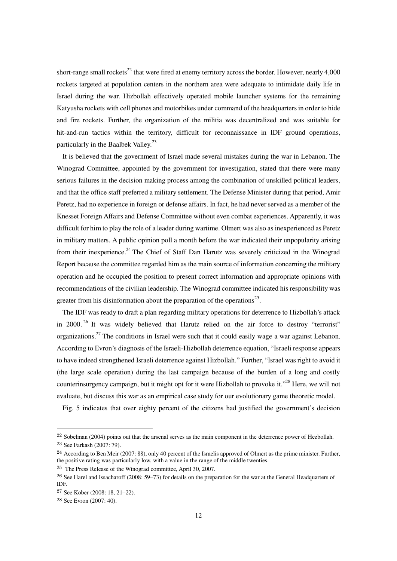short-range small rockets<sup>22</sup> that were fired at enemy territory across the border. However, nearly 4,000 rockets targeted at population centers in the northern area were adequate to intimidate daily life in Israel during the war. Hizbollah effectively operated mobile launcher systems for the remaining Katyusha rockets with cell phones and motorbikes under command of the headquarters in order to hide and fire rockets. Further, the organization of the militia was decentralized and was suitable for hit-and-run tactics within the territory, difficult for reconnaissance in IDF ground operations, particularly in the Baalbek Valley.<sup>23</sup>

It is believed that the government of Israel made several mistakes during the war in Lebanon. The Winograd Committee, appointed by the government for investigation, stated that there were many serious failures in the decision making process among the combination of unskilled political leaders, and that the office staff preferred a military settlement. The Defense Minister during that period, Amir Peretz, had no experience in foreign or defense affairs. In fact, he had never served as a member of the Knesset Foreign Affairs and Defense Committee without even combat experiences. Apparently, it was difficult for him to play the role of a leader during wartime. Olmert was also as inexperienced as Peretz in military matters. A public opinion poll a month before the war indicated their unpopularity arising from their inexperience.<sup>24</sup> The Chief of Staff Dan Harutz was severely criticized in the Winograd Report because the committee regarded him as the main source of information concerning the military operation and he occupied the position to present correct information and appropriate opinions with recommendations of the civilian leadership. The Winograd committee indicated his responsibility was greater from his disinformation about the preparation of the operations<sup>25</sup>.

The IDF was ready to draft a plan regarding military operations for deterrence to Hizbollah's attack in 2000.<sup>26</sup> It was widely believed that Harutz relied on the air force to destroy "terrorist" organizations.<sup>27</sup> The conditions in Israel were such that it could easily wage a war against Lebanon. According to Evron's diagnosis of the Israeli-Hizbollah deterrence equation, "Israeli response appears" to have indeed strengthened Israeli deterrence against Hizbollah." Further, "Israel was right to avoid it (the large scale operation) during the last campaign because of the burden of a long and costly counterinsurgency campaign, but it might opt for it were Hizbollah to provoke it."<sup>28</sup> Here, we will not evaluate, but discuss this war as an empirical case study for our evolutionary game theoretic model.

Fig. 5 indicates that over eighty percent of the citizens had justified the government's decision

 $^{22}$  Sobelman (2004) points out that the arsenal serves as the main component in the deterrence power of Hezbollah. <sup>23</sup> See Farkash (2007: 79).

<sup>&</sup>lt;sup>24</sup> According to Ben Meir (2007: 88), only 40 percent of the Israelis approved of Olmert as the prime minister. Further, the positive rating was particularly low, with a value in the range of the middle twenties.

<sup>25</sup> The Press Release of the Winograd committee, April 30, 2007.

<sup>26</sup> See Harel and Issacharoff (2008: 59–73) for details on the preparation for the war at the General Headquarters of IDF.

<sup>27</sup> See Kober (2008: 18, 21–22).

<sup>28</sup> See Evron (2007: 40).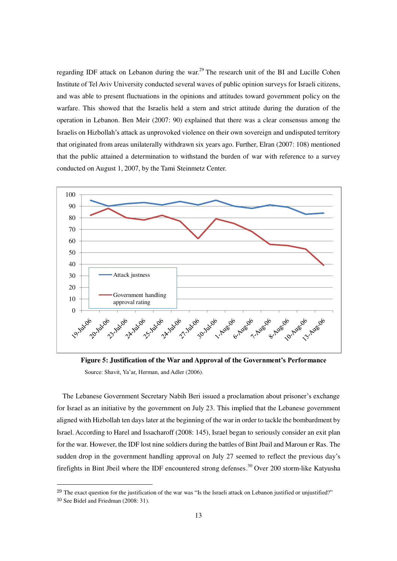regarding IDF attack on Lebanon during the war.<sup>29</sup> The research unit of the BI and Lucille Cohen Institute of Tel Aviv University conducted several waves of public opinion surveys for Israeli citizens, and was able to present fluctuations in the opinions and attitudes toward government policy on the warfare. This showed that the Israelis held a stern and strict attitude during the duration of the operation in Lebanon. Ben Meir (2007: 90) explained that there was a clear consensus among the Israelis on Hizbollah's attack as unprovoked violence on their own sovereign and undisputed territory that originated from areas unilaterally withdrawn six years ago. Further, Elran (2007: 108) mentioned that the public attained a determination to withstand the burden of war with reference to a survey conducted on August 1, 2007, by the Tami Steinmetz Center.



**Figure 5: Justification of the War and Approval of the Government's Performance** Source: Shavit, Ya'ar, Herman, and Adler (2006).

The Lebanese Government Secretary Nabih Beri issued a proclamation about prisoner's exchange for Israel as an initiative by the government on July 23. This implied that the Lebanese government aligned with Hizbollah ten days later at the beginning of the war in order to tackle the bombardment by Israel. According to Harel and Issacharoff (2008: 145), Israel began to seriously consider an exit plan for the war. However, the IDF lost nine soldiers during the battles of Bint Jbail and Maroun er Ras. The sudden drop in the government handling approval on July 27 seemed to reflect the previous day's firefights in Bint Jbeil where the IDF encountered strong defenses.<sup>30</sup> Over 200 storm-like Katyusha

 $29$  The exact question for the justification of the war was "Is the Israeli attack on Lebanon justified or unjustified?"

<sup>30</sup> See Bidel and Friedman (2008: 31).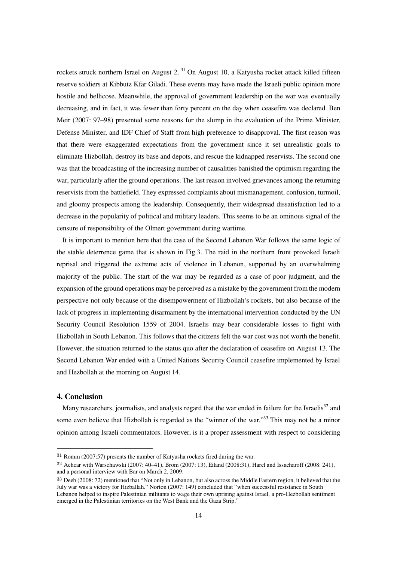rockets struck northern Israel on August  $2.^{31}$  On August 10, a Katyusha rocket attack killed fifteen reserve soldiers at Kibbutz Kfar Giladi. These events may have made the Israeli public opinion more hostile and bellicose. Meanwhile, the approval of government leadership on the war was eventually decreasing, and in fact, it was fewer than forty percent on the day when ceasefire was declared. Ben Meir (2007: 97–98) presented some reasons for the slump in the evaluation of the Prime Minister, Defense Minister, and IDF Chief of Staff from high preference to disapproval. The first reason was that there were exaggerated expectations from the government since it set unrealistic goals to eliminate Hizbollah, destroy its base and depots, and rescue the kidnapped reservists. The second one was that the broadcasting of the increasing number of causalities banished the optimism regarding the war, particularly after the ground operations. The last reason involved grievances among the returning reservists from the battlefield. They expressed complaints about mismanagement, confusion, turmoil, and gloomy prospects among the leadership. Consequently, their widespread dissatisfaction led to a decrease in the popularity of political and military leaders. This seems to be an ominous signal of the censure of responsibility of the Olmert government during wartime.

It is important to mention here that the case of the Second Lebanon War follows the same logic of the stable deterrence game that is shown in Fig.3. The raid in the northern front provoked Israeli reprisal and triggered the extreme acts of violence in Lebanon, supported by an overwhelming majority of the public. The start of the war may be regarded as a case of poor judgment, and the expansion of the ground operations may be perceived as a mistake by the government from the modern perspective not only because of the disempowerment of Hizbollah's rockets, but also because of the lack of progress in implementing disarmament by the international intervention conducted by the UN Security Council Resolution 1559 of 2004. Israelis may bear considerable losses to fight with Hizbollah in South Lebanon. This follows that the citizens felt the war cost was not worth the benefit. However, the situation returned to the status quo after the declaration of ceasefire on August 13. The Second Lebanon War ended with a United Nations Security Council ceasefire implemented by Israel and Hezbollah at the morning on August 14.

#### **4. Conclusion**

 $\overline{a}$ 

Many researchers, journalists, and analysts regard that the war ended in failure for the Israelis<sup>32</sup> and some even believe that Hizbollah is regarded as the "winner of the war."<sup>33</sup> This may not be a minor opinion among Israeli commentators. However, is it a proper assessment with respect to considering

<sup>31</sup> Romm (2007:57) presents the number of Katyusha rockets fired during the war.

<sup>32</sup> Achcar with Warschawski (2007: 40–41), Brom (2007: 13), Eiland (2008:31), Harel and Issacharoff (2008: 241), and a personal interview with Bar on March 2, 2009.

<sup>33</sup> Deeb (2008: 72) mentioned that "Not only in Lebanon, but also across the Middle Eastern region, it believed that the July war was a victory for Hizballah." Norton (2007: 149) concluded that "when successful resistance in South Lebanon helped to inspire Palestinian militants to wage their own uprising against Israel, a pro-Hezbollah sentiment emerged in the Palestinian territories on the West Bank and the Gaza Strip.'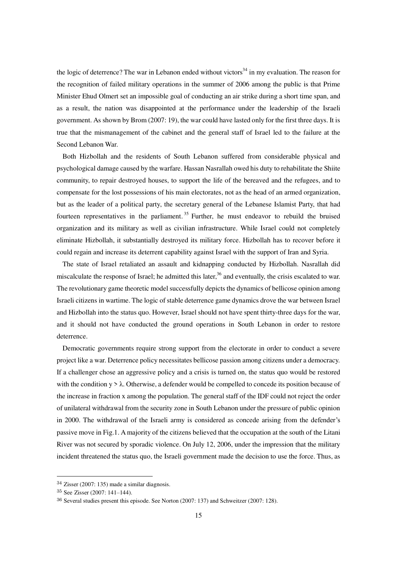the logic of deterrence? The war in Lebanon ended without victors<sup>34</sup> in my evaluation. The reason for the recognition of failed military operations in the summer of 2006 among the public is that Prime Minister Ehud Olmert set an impossible goal of conducting an air strike during a short time span, and as a result, the nation was disappointed at the performance under the leadership of the Israeli government. As shown by Brom (2007: 19), the war could have lasted only for the first three days. It is true that the mismanagement of the cabinet and the general staff of Israel led to the failure at the Second Lebanon War.

Both Hizbollah and the residents of South Lebanon suffered from considerable physical and psychological damage caused by the warfare. Hassan Nasrallah owed his duty to rehabilitate the Shiite community, to repair destroyed houses, to support the life of the bereaved and the refugees, and to compensate for the lost possessions of his main electorates, not as the head of an armed organization, but as the leader of a political party, the secretary general of the Lebanese Islamist Party, that had fourteen representatives in the parliament.<sup>35</sup> Further, he must endeavor to rebuild the bruised organization and its military as well as civilian infrastructure. While Israel could not completely eliminate Hizbollah, it substantially destroyed its military force. Hizbollah has to recover before it could regain and increase its deterrent capability against Israel with the support of Iran and Syria.

The state of Israel retaliated an assault and kidnapping conducted by Hizbollah. Nasrallah did miscalculate the response of Israel; he admitted this later,  $36$  and eventually, the crisis escalated to war. The revolutionary game theoretic model successfully depicts the dynamics of bellicose opinion among Israeli citizens in wartime. The logic of stable deterrence game dynamics drove the war between Israel and Hizbollah into the status quo. However, Israel should not have spent thirty-three days for the war, and it should not have conducted the ground operations in South Lebanon in order to restore deterrence.

Democratic governments require strong support from the electorate in order to conduct a severe project like a war. Deterrence policy necessitates bellicose passion among citizens under a democracy. If a challenger chose an aggressive policy and a crisis is turned on, the status quo would be restored with the condition  $y > \lambda$ . Otherwise, a defender would be compelled to concede its position because of the increase in fraction x among the population. The general staff of the IDF could not reject the order of unilateral withdrawal from the security zone in South Lebanon under the pressure of public opinion in 2000. The withdrawal of the Israeli army is considered as concede arising from the defender's passive move in Fig.1. A majority of the citizens believed that the occupation at the south of the Litani River was not secured by sporadic violence. On July 12, 2006, under the impression that the military incident threatened the status quo, the Israeli government made the decision to use the force. Thus, as

<sup>34</sup> Zisser (2007: 135) made a similar diagnosis.

<sup>35</sup> See Zisser (2007: 141–144).

<sup>36</sup> Several studies present this episode. See Norton (2007: 137) and Schweitzer (2007: 128).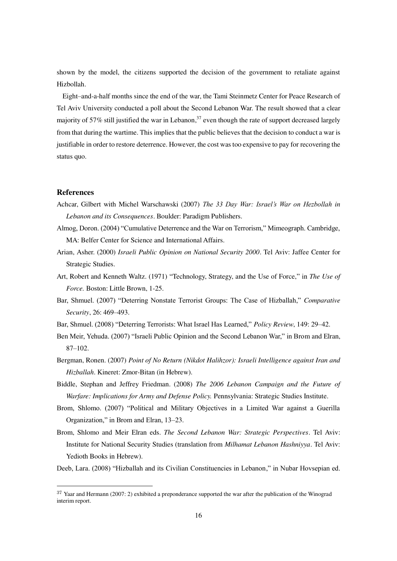shown by the model, the citizens supported the decision of the government to retaliate against Hizbollah.

Eight–and-a-half months since the end of the war, the Tami Steinmetz Center for Peace Research of Tel Aviv University conducted a poll about the Second Lebanon War. The result showed that a clear majority of 57% still justified the war in Lebanon,<sup>37</sup> even though the rate of support decreased largely from that during the wartime. This implies that the public believes that the decision to conduct a war is justifiable in order to restore deterrence. However, the cost was too expensive to pay for recovering the status quo.

#### **References**

 $\overline{a}$ 

- Achcar, Gilbert with Michel Warschawski (2007) *The 33 Day War: Israel's War on Hezbollah in Lebanon and its Consequences*. Boulder: Paradigm Publishers.
- Almog, Doron. (2004) "Cumulative Deterrence and the War on Terrorism," Mimeograph. Cambridge, MA: Belfer Center for Science and International Affairs.
- Arian, Asher. (2000) *Israeli Public Opinion on National Security 2000*. Tel Aviv: Jaffee Center for Strategic Studies.
- Art, Robert and Kenneth Waltz. (1971) "Technology, Strategy, and the Use of Force," in *The Use of Force.* Boston: Little Brown, 1-25.
- Bar, Shmuel. (2007) "Deterring Nonstate Terrorist Groups: The Case of Hizballah," *Comparative Security*, 26: 469–493.
- Bar, Shmuel. (2008) "Deterring Terrorists: What Israel Has Learned," Policy Review, 149: 29-42.
- Ben Meir, Yehuda. (2007) "Israeli Public Opinion and the Second Lebanon War," in Brom and Elran, 87–102.
- Bergman, Ronen. (2007) *Point of No Return (Nikdot Halihzor): Israeli Intelligence against Iran and Hizballah*. Kineret: Zmor-Bitan (in Hebrew).
- Biddle, Stephan and Jeffrey Friedman. (2008) *The 2006 Lebanon Campaign and the Future of Warfare: Implications for Army and Defense Policy.* Pennsylvania: Strategic Studies Institute.
- Brom, Shlomo. (2007) "Political and Military Objectives in a Limited War against a Guerilla Organization," in Brom and Elran, 13–23.
- Brom, Shlomo and Meir Elran eds. *The Second Lebanon War: Strategic Perspectives*. Tel Aviv: Institute for National Security Studies (translation from *Milhamat Lebanon Hashniyya*. Tel Aviv: Yedioth Books in Hebrew).

Deeb, Lara. (2008) "Hizballah and its Civilian Constituencies in Lebanon," in Nubar Hovsepian ed.

 $37$  Yaar and Hermann (2007: 2) exhibited a preponderance supported the war after the publication of the Winograd interim report.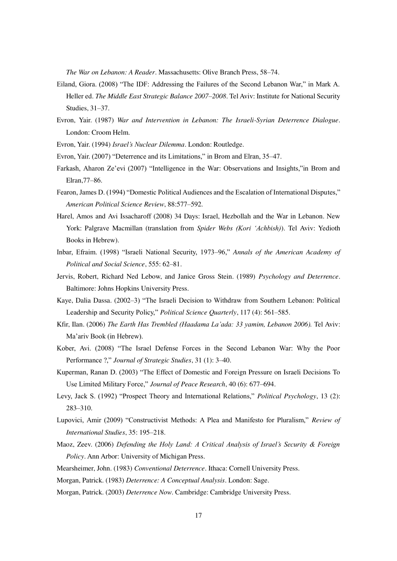*The War on Lebanon: A Reader*. Massachusetts: Olive Branch Press, 58–74.

- Eiland, Giora. (2008) "The IDF: Addressing the Failures of the Second Lebanon War," in Mark A. Heller ed. *The Middle East Strategic Balance 2007–2008*. Tel Aviv: Institute for National Security Studies, 31–37.
- Evron, Yair. (1987) *War and Intervention in Lebanon: The Israeli-Syrian Deterrence Dialogue*. London: Croom Helm.
- Evron, Yair. (1994) *Israel's Nuclear Dilemma*. London: Routledge.
- Evron, Yair. (2007) "Deterrence and its Limitations," in Brom and Elran, 35–47.
- Farkash, Aharon Ze'evi (2007) "Intelligence in the War: Observations and Insights,"in Brom and Elran,77–86.
- Fearon, James D. (1994) "Domestic Political Audiences and the Escalation of International Disputes," *American Political Science Review*, 88:577–592.
- Harel, Amos and Avi Issacharoff (2008) 34 Days: Israel, Hezbollah and the War in Lebanon. New York: Palgrave Macmillan (translation from *Spider Webs (Kori 'Achbish)*). Tel Aviv: Yedioth Books in Hebrew).
- Inbar, Efraim. (1998) "Israeli National Security, 1973–96," Annals of the American Academy of *Political and Social Science*, 555: 62–81.
- Jervis, Robert, Richard Ned Lebow, and Janice Gross Stein. (1989) *Psychology and Deterrence*. Baltimore: Johns Hopkins University Press.
- Kaye, Dalia Dassa. (2002–3) "The Israeli Decision to Withdraw from Southern Lebanon: Political Leadership and Security Policy," Political Science Quarterly, 117 (4): 561-585.
- Kfir, Ilan. (2006) *The Earth Has Trembled (Haadama La'ada: 33 yamim, Lebanon 2006).* Tel Aviv: Ma'ariv Book (in Hebrew).
- Kober, Avi. (2008) "The Israel Defense Forces in the Second Lebanon War: Why the Poor Performance ?," *Journal of Strategic Studies*, 31 (1): 3-40.
- Kuperman, Ranan D. (2003) "The Effect of Domestic and Foreign Pressure on Israeli Decisions To Use Limited Military Force," *Journal of Peace Research*, 40 (6): 677-694.
- Levy, Jack S. (1992) "Prospect Theory and International Relations," *Political Psychology*, 13 (2): 283–310.
- Lupovici, Amir (2009) "Constructivist Methods: A Plea and Manifesto for Pluralism," Review of *International Studies*, 35: 195–218.
- Maoz, Zeev. (2006) *Defending the Holy Land: A Critical Analysis of Israel's Security & Foreign Policy*. Ann Arbor: University of Michigan Press.
- Mearsheimer, John. (1983) *Conventional Deterrence*. Ithaca: Cornell University Press.
- Morgan, Patrick. (1983) *Deterrence: A Conceptual Analysis*. London: Sage.
- Morgan, Patrick. (2003) *Deterrence Now*. Cambridge: Cambridge University Press.